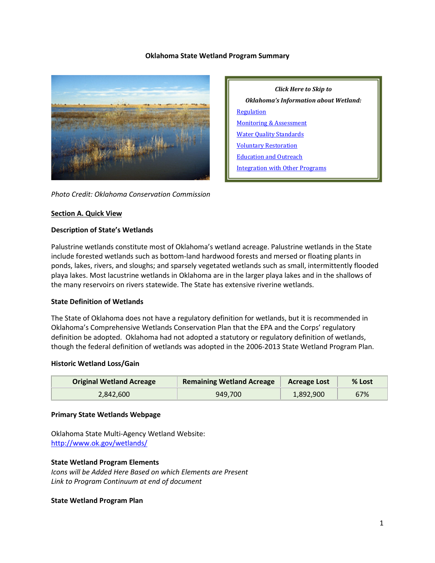### **Oklahoma State Wetland Program Summary**



*Photo Credit: Oklahoma Conservation Commission*

### **Section A. Quick View**

### **Description of State's Wetlands**

Palustrine wetlands constitute most of Oklahoma's wetland acreage. Palustrine wetlands in the State include forested wetlands such as bottom-land hardwood forests and mersed or floating plants in ponds, lakes, rivers, and sloughs; and sparsely vegetated wetlands such as small, intermittently flooded playa lakes. Most lacustrine wetlands in Oklahoma are in the larger playa lakes and in the shallows of the many reservoirs on rivers statewide. The State has extensive riverine wetlands.

#### **State Definition of Wetlands**

The State of Oklahoma does not have a regulatory definition for wetlands, but it is recommended in Oklahoma's Comprehensive Wetlands Conservation Plan that the EPA and the Corps' regulatory definition be adopted. Oklahoma had not adopted a statutory or regulatory definition of wetlands, though the federal definition of wetlands was adopted in the 2006-2013 State Wetland Program Plan.

#### **Historic Wetland Loss/Gain**

| <b>Original Wetland Acreage</b> | <b>Remaining Wetland Acreage</b> | <b>Acreage Lost</b> | % Lost |
|---------------------------------|----------------------------------|---------------------|--------|
| 2.842.600                       | 949,700                          | 1,892,900           | 67%    |

#### **Primary State Wetlands Webpage**

Oklahoma State Multi-Agency Wetland Website: <http://www.ok.gov/wetlands/>

#### **State Wetland Program Elements**

*Icons will be Added Here Based on which Elements are Present Link to Program Continuum at end of document*

#### **State Wetland Program Plan**

*Click Here to Skip to Oklahoma's Information about Wetland:* [Regulation](#page-2-0) [Monitoring & Assessment](#page-4-0) Water [Quality Standards](#page-6-0) [Voluntary Restoration](#page-7-0) [Education and Outreach](#page-9-0) [Integration with Other Programs](#page-9-1)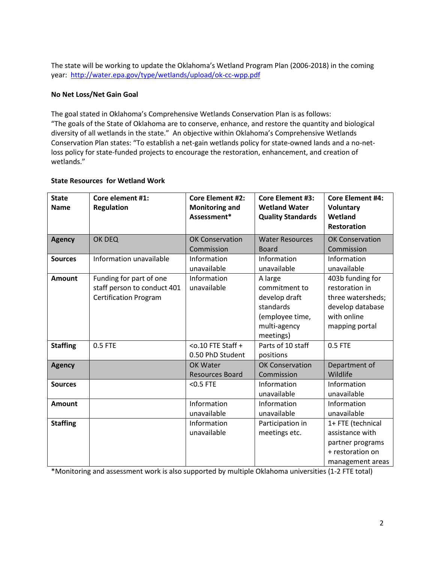The state will be working to update the Oklahoma's Wetland Program Plan (2006-2018) in the coming year:<http://water.epa.gov/type/wetlands/upload/ok-cc-wpp.pdf>

## **No Net Loss/Net Gain Goal**

The goal stated in Oklahoma's Comprehensive Wetlands Conservation Plan is as follows: "The goals of the State of Oklahoma are to conserve, enhance, and restore the quantity and biological diversity of all wetlands in the state." An objective within Oklahoma's Comprehensive Wetlands Conservation Plan states: "To establish a net-gain wetlands policy for state-owned lands and a no-netloss policy for state-funded projects to encourage the restoration, enhancement, and creation of wetlands."

## **State Resources for Wetland Work**

| <b>State</b><br><b>Name</b> | Core element #1:<br><b>Regulation</b>                                                  | <b>Core Element #2:</b><br><b>Monitoring and</b><br>Assessment* | <b>Core Element #3:</b><br><b>Wetland Water</b><br><b>Quality Standards</b>                            | <b>Core Element #4:</b><br><b>Voluntary</b><br>Wetland<br><b>Restoration</b>                                 |
|-----------------------------|----------------------------------------------------------------------------------------|-----------------------------------------------------------------|--------------------------------------------------------------------------------------------------------|--------------------------------------------------------------------------------------------------------------|
| <b>Agency</b>               | OK DEQ                                                                                 | <b>OK Conservation</b><br>Commission                            | <b>Water Resources</b><br><b>Board</b>                                                                 | <b>OK Conservation</b><br>Commission                                                                         |
| <b>Sources</b>              | Information unavailable                                                                | Information<br>unavailable                                      | Information<br>unavailable                                                                             | Information<br>unavailable                                                                                   |
| <b>Amount</b>               | Funding for part of one<br>staff person to conduct 401<br><b>Certification Program</b> | Information<br>unavailable                                      | A large<br>commitment to<br>develop draft<br>standards<br>(employee time,<br>multi-agency<br>meetings) | 403b funding for<br>restoration in<br>three watersheds;<br>develop database<br>with online<br>mapping portal |
| <b>Staffing</b>             | 0.5 FTE                                                                                | $<$ o.10 FTE Staff +<br>0.50 PhD Student                        | Parts of 10 staff<br>positions                                                                         | 0.5 FTE                                                                                                      |
| <b>Agency</b>               |                                                                                        | OK Water<br><b>Resources Board</b>                              | <b>OK Conservation</b><br>Commission                                                                   | Department of<br>Wildlife                                                                                    |
| <b>Sources</b>              |                                                                                        | $< 0.5$ FTE                                                     | Information<br>unavailable                                                                             | Information<br>unavailable                                                                                   |
| <b>Amount</b>               |                                                                                        | Information<br>unavailable                                      | Information<br>unavailable                                                                             | Information<br>unavailable                                                                                   |
| <b>Staffing</b>             |                                                                                        | Information<br>unavailable                                      | Participation in<br>meetings etc.                                                                      | 1+ FTE (technical<br>assistance with<br>partner programs<br>+ restoration on<br>management areas             |

\*Monitoring and assessment work is also supported by multiple Oklahoma universities (1-2 FTE total)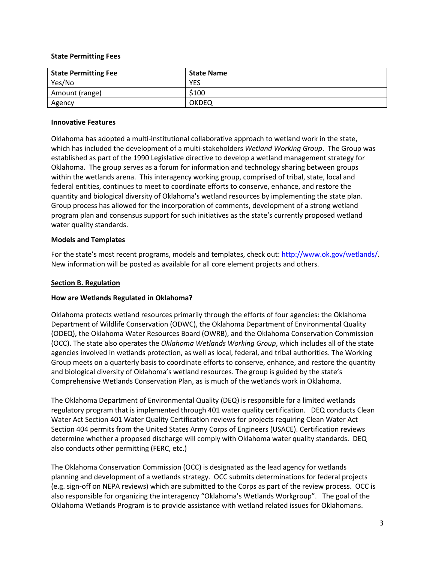### **State Permitting Fees**

| <b>State Permitting Fee</b> | <b>State Name</b> |
|-----------------------------|-------------------|
| Yes/No                      | <b>YES</b>        |
| Amount (range)              | \$100             |
| Agency                      | OKDEQ             |

### **Innovative Features**

Oklahoma has adopted a multi-institutional collaborative approach to wetland work in the state, which has included the development of a multi-stakeholders *Wetland Working Group*. The Group was established as part of the 1990 Legislative directive to develop a wetland management strategy for Oklahoma. The group serves as a forum for information and technology sharing between groups within the wetlands arena. This interagency working group, comprised of tribal, state, local and federal entities, continues to meet to coordinate efforts to conserve, enhance, and restore the quantity and biological diversity of Oklahoma's wetland resources by implementing the state plan. Group process has allowed for the incorporation of comments, development of a strong wetland program plan and consensus support for such initiatives as the state's currently proposed wetland water quality standards.

## **Models and Templates**

For the state's most recent programs, models and templates, check out: [http://www.ok.gov/wetlands/.](http://www.ok.gov/wetlands/) New information will be posted as available for all core element projects and others.

## <span id="page-2-0"></span>**Section B. Regulation**

## **How are Wetlands Regulated in Oklahoma?**

Oklahoma protects wetland resources primarily through the efforts of four agencies: the Oklahoma Department of Wildlife Conservation (ODWC), the Oklahoma Department of Environmental Quality (ODEQ), the Oklahoma Water Resources Board (OWRB), and the Oklahoma Conservation Commission (OCC). The state also operates the *Oklahoma Wetlands Working Group*, which includes all of the state agencies involved in wetlands protection, as well as local, federal, and tribal authorities. The Working Group meets on a quarterly basis to coordinate efforts to conserve, enhance, and restore the quantity and biological diversity of Oklahoma's wetland resources. The group is guided by the state's Comprehensive Wetlands Conservation Plan, as is much of the wetlands work in Oklahoma.

The Oklahoma Department of Environmental Quality (DEQ) is responsible for a limited wetlands regulatory program that is implemented through 401 water quality certification. DEQ conducts Clean Water Act Section 401 Water Quality Certification reviews for projects requiring Clean Water Act Section 404 permits from the United States Army Corps of Engineers (USACE). Certification reviews determine whether a proposed discharge will comply with Oklahoma water quality standards. DEQ also conducts other permitting (FERC, etc.)

The Oklahoma Conservation Commission (OCC) is designated as the lead agency for wetlands planning and development of a wetlands strategy. OCC submits determinations for federal projects (e.g. sign-off on NEPA reviews) which are submitted to the Corps as part of the review process. OCC is also responsible for organizing the interagency "Oklahoma's Wetlands Workgroup". The goal of the Oklahoma Wetlands Program is to provide assistance with wetland related issues for Oklahomans.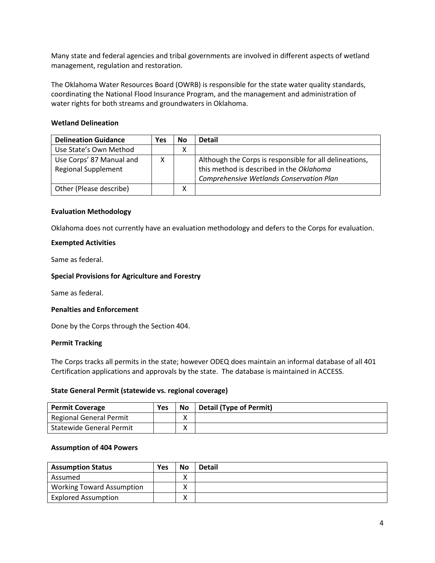Many state and federal agencies and tribal governments are involved in different aspects of wetland management, regulation and restoration.

The Oklahoma Water Resources Board (OWRB) is responsible for the state water quality standards, coordinating the National Flood Insurance Program, and the management and administration of water rights for both streams and groundwaters in Oklahoma.

### **Wetland Delineation**

| <b>Delineation Guidance</b>                            | Yes | No | <b>Detail</b>                                                                                       |
|--------------------------------------------------------|-----|----|-----------------------------------------------------------------------------------------------------|
| Use State's Own Method                                 |     | х  |                                                                                                     |
| Use Corps' 87 Manual and<br><b>Regional Supplement</b> |     |    | Although the Corps is responsible for all delineations,<br>this method is described in the Oklahoma |
|                                                        |     |    | Comprehensive Wetlands Conservation Plan                                                            |
| Other (Please describe)                                |     | х  |                                                                                                     |

### **Evaluation Methodology**

Oklahoma does not currently have an evaluation methodology and defers to the Corps for evaluation.

### **Exempted Activities**

Same as federal.

### **Special Provisions for Agriculture and Forestry**

Same as federal.

#### **Penalties and Enforcement**

Done by the Corps through the Section 404.

#### **Permit Tracking**

The Corps tracks all permits in the state; however ODEQ does maintain an informal database of all 401 Certification applications and approvals by the state. The database is maintained in ACCESS.

#### **State General Permit (statewide vs. regional coverage)**

| <b>Permit Coverage</b>          | Yes | <b>No</b> | <b>Detail (Type of Permit)</b> |
|---------------------------------|-----|-----------|--------------------------------|
| Regional General Permit         |     |           |                                |
| <b>Statewide General Permit</b> |     | v<br>Λ    |                                |

#### **Assumption of 404 Powers**

| <b>Assumption Status</b>         | Yes | <b>No</b> | <b>Detail</b> |
|----------------------------------|-----|-----------|---------------|
| Assumed                          |     |           |               |
| <b>Working Toward Assumption</b> |     |           |               |
| <b>Explored Assumption</b>       |     |           |               |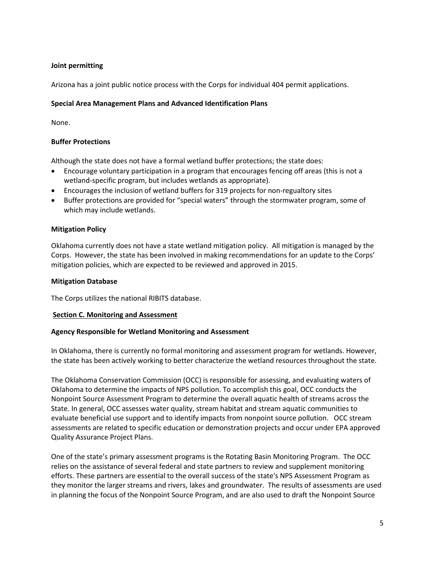## **Joint permitting**

Arizona has a joint public notice process with the Corps for individual 404 permit applications.

## **Special Area Management Plans and Advanced Identification Plans**

None.

## **Buffer Protections**

Although the state does not have a formal wetland buffer protections; the state does:

- Encourage voluntary participation in a program that encourages fencing off areas (this is not a wetland-specific program, but includes wetlands as appropriate).
- Encourages the inclusion of wetland buffers for 319 projects for non-regualtory sites
- Buffer protections are provided for "special waters" through the stormwater program, some of which may include wetlands.

## **Mitigation Policy**

Oklahoma currently does not have a state wetland mitigation policy. All mitigation is managed by the Corps. However, the state has been involved in making recommendations for an update to the Corps' mitigation policies, which are expected to be reviewed and approved in 2015.

## **Mitigation Database**

The Corps utilizes the national RIBITS database.

## <span id="page-4-0"></span>**Section C. Monitoring and Assessment**

## **Agency Responsible for Wetland Monitoring and Assessment**

In Oklahoma, there is currently no formal monitoring and assessment program for wetlands. However, the state has been actively working to better characterize the wetland resources throughout the state.

The Oklahoma Conservation Commission (OCC) is responsible for assessing, and evaluating waters of Oklahoma to determine the impacts of NPS pollution. To accomplish this goal, OCC conducts the Nonpoint Source Assessment Program to determine the overall aquatic health of streams across the State. In general, OCC assesses water quality, stream habitat and stream aquatic communities to evaluate beneficial use support and to identify impacts from nonpoint source pollution. OCC stream assessments are related to specific education or demonstration projects and occur under EPA approved Quality Assurance Project Plans.

One of the state's primary assessment programs is the Rotating Basin Monitoring Program. The OCC relies on the assistance of several federal and state partners to review and supplement monitoring efforts. These partners are essential to the overall success of the state's NPS Assessment Program as they monitor the larger streams and rivers, lakes and groundwater. The results of assessments are used in planning the focus of the Nonpoint Source Program, and are also used to draft the Nonpoint Source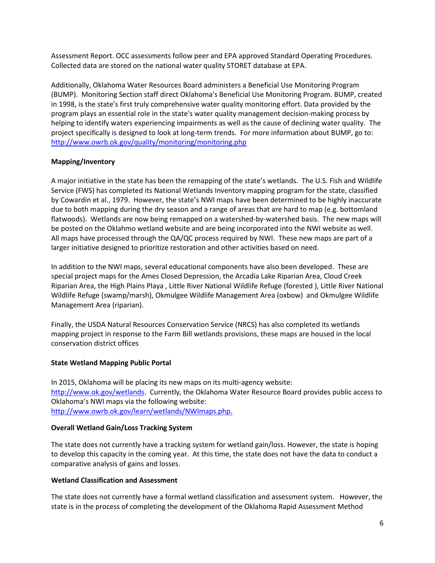Assessment Report. OCC assessments follow peer and EPA approved Standard Operating Procedures. Collected data are stored on the national water quality STORET database at EPA.

Additionally, Oklahoma Water Resources Board administers a Beneficial Use Monitoring Program (BUMP). Monitoring Section staff direct Oklahoma's Beneficial Use Monitoring Program. BUMP, created in 1998, is the state's first truly comprehensive water quality monitoring effort. Data provided by the program plays an essential role in the state's water quality management decision-making process by helping to identify waters experiencing impairments as well as the cause of declining water quality. The project specifically is designed to look at long-term trends. For more information about BUMP, go to: <http://www.owrb.ok.gov/quality/monitoring/monitoring.php>

## **Mapping/Inventory**

A major initiative in the state has been the remapping of the state's wetlands. The U.S. Fish and Wildlife Service (FWS) has completed its National Wetlands Inventory mapping program for the state, classified by Cowardin et al., 1979. However, the state's NWI maps have been determined to be highly inaccurate due to both mapping during the dry season and a range of areas that are hard to map (e.g. bottomland flatwoods). Wetlands are now being remapped on a watershed-by-watershed basis. The new maps will be posted on the Oklahmo wetland website and are being incorporated into the NWI website as well. All maps have processed through the QA/QC process required by NWI. These new maps are part of a larger initiative designed to prioritize restoration and other activities based on need.

In addition to the NWI maps, several educational components have also been developed. These are special project maps for the [Ames Closed Depression,](http://www.owrb.ok.gov/learn/wetlands/vtour/ames/index.php) the [Arcadia Lake Riparian Area,](http://www.owrb.ok.gov/learn/wetlands/vtour/arcadia/index.php) [Cloud Creek](http://www.owrb.ok.gov/learn/wetlands/vtour/cloudcrk/index.php)  [Riparian Area,](http://www.owrb.ok.gov/learn/wetlands/vtour/cloudcrk/index.php) the [High Plains Playa](http://www.owrb.ok.gov/learn/wetlands/vtour/hp/index.php) , [Little River National Wildlife Refuge](http://www.owrb.ok.gov/learn/wetlands/vtour/lrf/index.php) (forested )[, Little River National](http://www.owrb.ok.gov/learn/wetlands/vtour/lrs/index.php)  [Wildlife Refuge](http://www.owrb.ok.gov/learn/wetlands/vtour/lrs/index.php) (swamp/marsh), [Okmulgee Wildlife Management Area](http://www.owrb.ok.gov/learn/wetlands/vtour/oko/index.php) (oxbow) and [Okmulgee Wildlife](http://www.owrb.ok.gov/learn/wetlands/vtour/okr/index.php)  [Management Area](http://www.owrb.ok.gov/learn/wetlands/vtour/okr/index.php) (riparian).

Finally, the USDA Natural Resources Conservation Service (NRCS) has also completed its wetlands mapping project in response to the Farm Bill wetlands provisions, these maps are housed in the local conservation district offices

## **State Wetland Mapping Public Portal**

In 2015, Oklahoma will be placing its new maps on its multi-agency website: [http://www.ok.gov/wetlands.](http://www.ok.gov/wetlands) Currently, the Oklahoma Water Resource Board provides public access to Oklahoma's NWI maps via the following website: [http://www.owrb.ok.gov/learn/wetlands/NWImaps.php.](http://www.owrb.ok.gov/learn/wetlands/NWImaps.php)

## **Overall Wetland Gain/Loss Tracking System**

The state does not currently have a tracking system for wetland gain/loss. However, the state is hoping to develop this capacity in the coming year. At this time, the state does not have the data to conduct a comparative analysis of gains and losses.

## **Wetland Classification and Assessment**

The state does not currently have a formal wetland classification and assessment system. However, the state is in the process of completing the development of the Oklahoma Rapid Assessment Method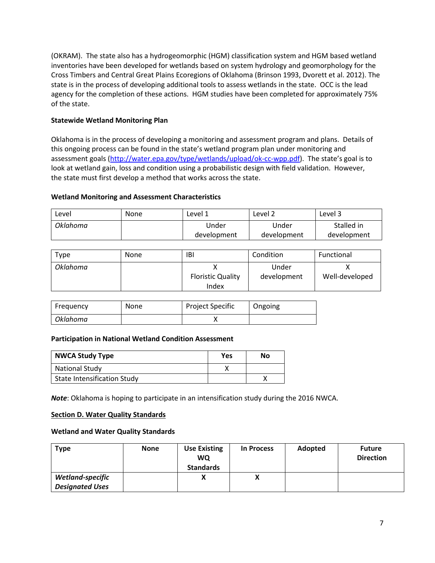(OKRAM). The state also has a hydrogeomorphic (HGM) classification system and HGM based wetland inventories have been developed for wetlands based on system hydrology and geomorphology for the Cross Timbers and Central Great Plains Ecoregions of Oklahoma (Brinson 1993, Dvorett et al. 2012). The state is in the process of developing additional tools to assess wetlands in the state. OCC is the lead agency for the completion of these actions. HGM studies have been completed for approximately 75% of the state.

## **Statewide Wetland Monitoring Plan**

Oklahoma is in the process of developing a monitoring and assessment program and plans. Details of this ongoing process can be found in the state's wetland program plan under monitoring and assessment goals [\(http://water.epa.gov/type/wetlands/upload/ok-cc-wpp.pdf\)](http://water.epa.gov/type/wetlands/upload/ok-cc-wpp.pdf). The state's goal is to look at wetland gain, loss and condition using a probabilistic design with field validation. However, the state must first develop a method that works across the state.

## **Wetland Monitoring and Assessment Characteristics**

| ∟evel    | None | Level 1     | Level 2     | Level 3     |
|----------|------|-------------|-------------|-------------|
| Oklahoma |      | Jnder       | Under       | Stalled in  |
|          |      | development | development | development |

| Type            | None | IBI                               | Condition            | Functional     |
|-----------------|------|-----------------------------------|----------------------|----------------|
| <b>Oklahoma</b> |      | <b>Floristic Quality</b><br>Index | Under<br>development | Well-developed |

| Freguency       | <b>None</b> | <b>Project Specific</b> | Ongoing |
|-----------------|-------------|-------------------------|---------|
| <b>Oklahoma</b> |             |                         |         |

## **Participation in National Wetland Condition Assessment**

| <b>NWCA Study Type</b>             | Yes | Nο |
|------------------------------------|-----|----|
| <b>National Study</b>              |     |    |
| <b>State Intensification Study</b> |     |    |

*Note*: Oklahoma is hoping to participate in an intensification study during the 2016 NWCA.

## <span id="page-6-0"></span>**Section D. Water Quality Standards**

## **Wetland and Water Quality Standards**

| <b>Type</b>            | <b>None</b> | <b>Use Existing</b><br><b>WQ</b><br><b>Standards</b> | <b>In Process</b> | Adopted | <b>Future</b><br><b>Direction</b> |
|------------------------|-------------|------------------------------------------------------|-------------------|---------|-----------------------------------|
| Wetland-specific       |             | Χ                                                    | Λ                 |         |                                   |
| <b>Designated Uses</b> |             |                                                      |                   |         |                                   |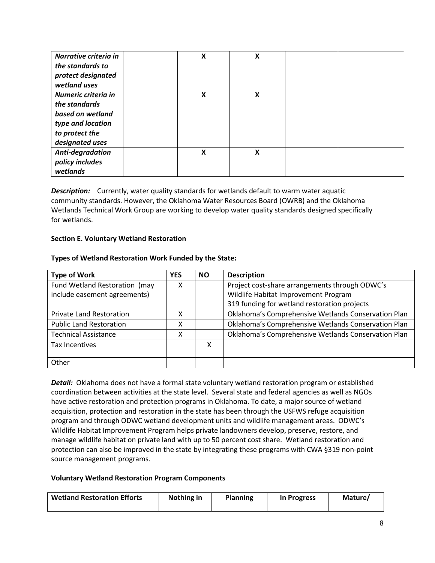| Narrative criteria in<br>the standards to<br>protect designated<br>wetland uses                                    | X | X |  |
|--------------------------------------------------------------------------------------------------------------------|---|---|--|
| Numeric criteria in<br>the standards<br>based on wetland<br>type and location<br>to protect the<br>designated uses | X | X |  |
| Anti-degradation<br>policy includes<br>wetlands                                                                    | X | X |  |

**Description:** Currently, water quality standards for wetlands default to warm water aquatic community standards. However, the Oklahoma Water Resources Board (OWRB) and the Oklahoma Wetlands Technical Work Group are working to develop water quality standards designed specifically for wetlands.

## <span id="page-7-0"></span>**Section E. Voluntary Wetland Restoration**

## **Types of Wetland Restoration Work Funded by the State:**

| <b>Type of Work</b>             | <b>YES</b> | NO. | <b>Description</b>                                  |
|---------------------------------|------------|-----|-----------------------------------------------------|
| Fund Wetland Restoration (may   |            |     | Project cost-share arrangements through ODWC's      |
| include easement agreements)    |            |     | Wildlife Habitat Improvement Program                |
|                                 |            |     | 319 funding for wetland restoration projects        |
| <b>Private Land Restoration</b> |            |     | Oklahoma's Comprehensive Wetlands Conservation Plan |
| <b>Public Land Restoration</b>  |            |     | Oklahoma's Comprehensive Wetlands Conservation Plan |
| <b>Technical Assistance</b>     |            |     | Oklahoma's Comprehensive Wetlands Conservation Plan |
| Tax Incentives                  |            | X   |                                                     |
|                                 |            |     |                                                     |
| Other                           |            |     |                                                     |

*Detail:*Oklahoma does not have a formal state voluntary wetland restoration program or established coordination between activities at the state level. Several state and federal agencies as well as NGOs have active restoration and protection programs in Oklahoma. To date, a major source of wetland acquisition, protection and restoration in the state has been through the USFWS refuge acquisition program and through ODWC wetland development units and wildlife management areas. ODWC's Wildlife Habitat Improvement Program helps private landowners develop, preserve, restore, and manage wildlife habitat on private land with up to 50 percent cost share. Wetland restoration and protection can also be improved in the state by integrating these programs with CWA §319 non-point source management programs.

## **Voluntary Wetland Restoration Program Components**

| <b>Wetland Restoration Efforts</b> | Nothing in | Planning | In Progress | Mature/ |
|------------------------------------|------------|----------|-------------|---------|
|                                    |            |          |             |         |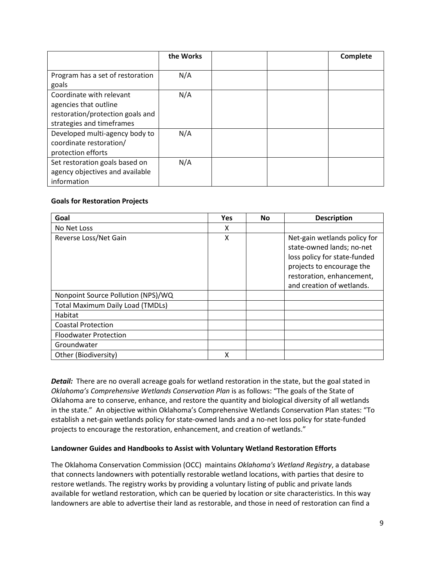|                                                                                                                    | the Works |  | Complete |
|--------------------------------------------------------------------------------------------------------------------|-----------|--|----------|
| Program has a set of restoration<br>goals                                                                          | N/A       |  |          |
| Coordinate with relevant<br>agencies that outline<br>restoration/protection goals and<br>strategies and timeframes | N/A       |  |          |
| Developed multi-agency body to<br>coordinate restoration/<br>protection efforts                                    | N/A       |  |          |
| Set restoration goals based on<br>agency objectives and available<br>information                                   | N/A       |  |          |

## **Goals for Restoration Projects**

| Goal                                    | <b>Yes</b> | <b>No</b> | <b>Description</b>                                                                                                                                                               |
|-----------------------------------------|------------|-----------|----------------------------------------------------------------------------------------------------------------------------------------------------------------------------------|
| No Net Loss                             | x          |           |                                                                                                                                                                                  |
| Reverse Loss/Net Gain                   | X          |           | Net-gain wetlands policy for<br>state-owned lands; no-net<br>loss policy for state-funded<br>projects to encourage the<br>restoration, enhancement,<br>and creation of wetlands. |
| Nonpoint Source Pollution (NPS)/WQ      |            |           |                                                                                                                                                                                  |
| <b>Total Maximum Daily Load (TMDLs)</b> |            |           |                                                                                                                                                                                  |
| Habitat                                 |            |           |                                                                                                                                                                                  |
| <b>Coastal Protection</b>               |            |           |                                                                                                                                                                                  |
| <b>Floodwater Protection</b>            |            |           |                                                                                                                                                                                  |
| Groundwater                             |            |           |                                                                                                                                                                                  |
| Other (Biodiversity)                    | χ          |           |                                                                                                                                                                                  |

**Detail:** There are no overall acreage goals for wetland restoration in the state, but the goal stated in *Oklahoma's Comprehensive Wetlands Conservation Plan* is as follows: "The goals of the State of Oklahoma are to conserve, enhance, and restore the quantity and biological diversity of all wetlands in the state." An objective within Oklahoma's Comprehensive Wetlands Conservation Plan states: "To establish a net-gain wetlands policy for state-owned lands and a no-net loss policy for state-funded projects to encourage the restoration, enhancement, and creation of wetlands."

## **Landowner Guides and Handbooks to Assist with Voluntary Wetland Restoration Efforts**

The Oklahoma Conservation Commission (OCC) maintains *Oklahoma's Wetland Registry*, a database that connects landowners with potentially restorable wetland locations, with parties that desire to restore wetlands. The registry works by providing a voluntary listing of public and private lands available for wetland restoration, which can be queried by location or site characteristics. In this way landowners are able to advertise their land as restorable, and those in need of restoration can find a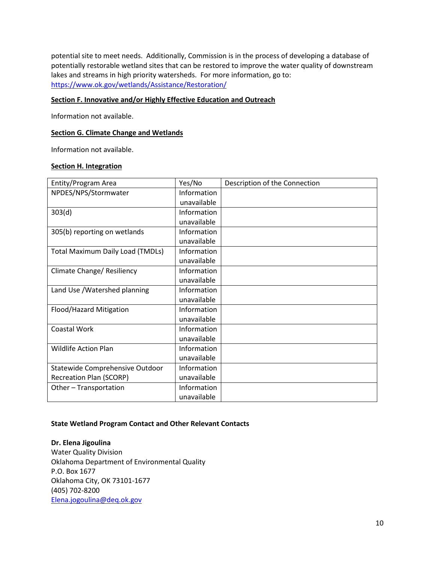potential site to meet needs. Additionally, Commission is in the process of developing a database of potentially restorable wetland sites that can be restored to improve the water quality of downstream lakes and streams in high priority watersheds. For more information, go to: <https://www.ok.gov/wetlands/Assistance/Restoration/>

### <span id="page-9-0"></span>**Section F. Innovative and/or Highly Effective Education and Outreach**

Information not available.

### **Section G. Climate Change and Wetlands**

Information not available.

### <span id="page-9-1"></span>**Section H. Integration**

| Entity/Program Area                     | Yes/No      | Description of the Connection |
|-----------------------------------------|-------------|-------------------------------|
| NPDES/NPS/Stormwater                    | Information |                               |
|                                         | unavailable |                               |
| 303(d)                                  | Information |                               |
|                                         | unavailable |                               |
| 305(b) reporting on wetlands            | Information |                               |
|                                         | unavailable |                               |
| <b>Total Maximum Daily Load (TMDLs)</b> | Information |                               |
|                                         | unavailable |                               |
| Climate Change/ Resiliency              | Information |                               |
|                                         | unavailable |                               |
| Land Use / Watershed planning           | Information |                               |
|                                         | unavailable |                               |
| Flood/Hazard Mitigation                 | Information |                               |
|                                         | unavailable |                               |
| <b>Coastal Work</b>                     | Information |                               |
|                                         | unavailable |                               |
| <b>Wildlife Action Plan</b>             | Information |                               |
|                                         | unavailable |                               |
| Statewide Comprehensive Outdoor         | Information |                               |
| <b>Recreation Plan (SCORP)</b>          | unavailable |                               |
| Other - Transportation                  | Information |                               |
|                                         | unavailable |                               |

#### **State Wetland Program Contact and Other Relevant Contacts**

**Dr. Elena Jigoulina**  Water Quality Division Oklahoma Department of Environmental Quality P.O. Box 1677 Oklahoma City, OK 73101-1677 (405) 702-8200 [Elena.jogoulina@deq.ok.gov](mailto:Elena.jogoulina@deq.ok.gov)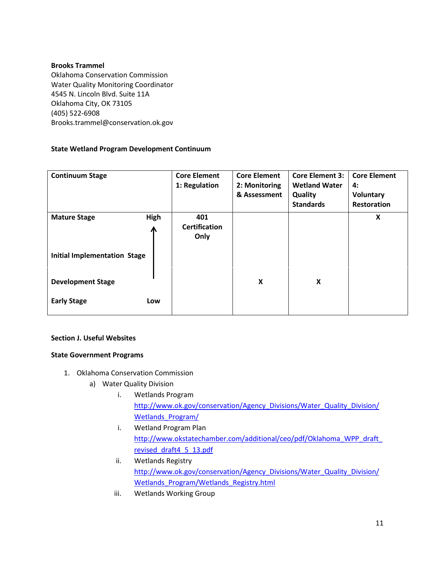## **Brooks Trammel**

Oklahoma Conservation Commission Water Quality Monitoring Coordinator 4545 N. Lincoln Blvd. Suite 11A Oklahoma City, OK 73105 (405) 522-6908 Brooks.trammel@conservation.ok.gov

# **State Wetland Program Development Continuum**

| <b>Continuum Stage</b>              |           | <b>Core Element</b><br>1: Regulation | <b>Core Element</b><br>2: Monitoring<br>& Assessment | <b>Core Element 3:</b><br><b>Wetland Water</b><br>Quality<br><b>Standards</b> | <b>Core Element</b><br>4:<br>Voluntary<br><b>Restoration</b> |
|-------------------------------------|-----------|--------------------------------------|------------------------------------------------------|-------------------------------------------------------------------------------|--------------------------------------------------------------|
| <b>Mature Stage</b>                 | High<br>Ж | 401<br><b>Certification</b><br>Only  |                                                      |                                                                               | X                                                            |
| <b>Initial Implementation Stage</b> |           |                                      |                                                      |                                                                               |                                                              |
| <b>Development Stage</b>            |           |                                      | X                                                    | X                                                                             |                                                              |
| <b>Early Stage</b>                  | Low       |                                      |                                                      |                                                                               |                                                              |

# **Section J. Useful Websites**

# **State Government Programs**

- 1. Oklahoma Conservation Commission
	- a) Water Quality Division
		- i. Wetlands Program [http://www.ok.gov/conservation/Agency\\_Divisions/Water\\_Quality\\_Division/](http://www.ok.gov/conservation/Agency_Divisions/Water_Quality_Division/Wetlands_Program/) Wetlands Program/
		- i. Wetland Program Plan [http://www.okstatechamber.com/additional/ceo/pdf/Oklahoma\\_WPP\\_draft\\_](http://www.okstatechamber.com/additional/ceo/pdf/Oklahoma_WPP_draft_revised_draft4_5_13.pdf) [revised\\_draft4\\_5\\_13.pdf](http://www.okstatechamber.com/additional/ceo/pdf/Oklahoma_WPP_draft_revised_draft4_5_13.pdf)
		- ii. Wetlands Registry [http://www.ok.gov/conservation/Agency\\_Divisions/Water\\_Quality\\_Division/](http://www.ok.gov/conservation/Agency_Divisions/Water_Quality_Division/Wetlands_Program/Wetlands_Registry.html) [Wetlands\\_Program/Wetlands\\_Registry.html](http://www.ok.gov/conservation/Agency_Divisions/Water_Quality_Division/Wetlands_Program/Wetlands_Registry.html)
		- iii. Wetlands Working Group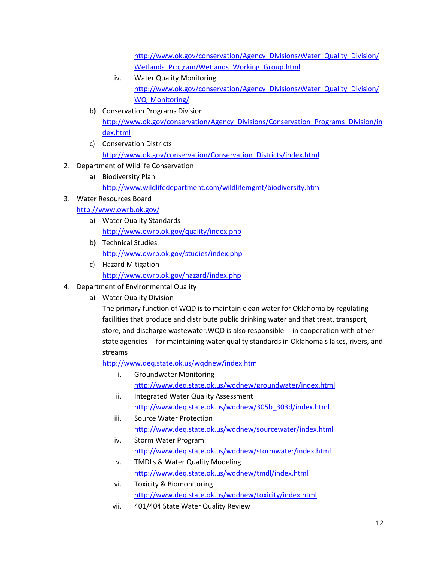[http://www.ok.gov/conservation/Agency\\_Divisions/Water\\_Quality\\_Division/](http://www.ok.gov/conservation/Agency_Divisions/Water_Quality_Division/Wetlands_Program/Wetlands_Working_Group.html) Wetlands Program/Wetlands Working Group.html

- iv. Water Quality Monitoring [http://www.ok.gov/conservation/Agency\\_Divisions/Water\\_Quality\\_Division/](http://www.ok.gov/conservation/Agency_Divisions/Water_Quality_Division/WQ_Monitoring/) [WQ\\_Monitoring/](http://www.ok.gov/conservation/Agency_Divisions/Water_Quality_Division/WQ_Monitoring/)
- b) Conservation Programs Division [http://www.ok.gov/conservation/Agency\\_Divisions/Conservation\\_Programs\\_Division/in](http://www.ok.gov/conservation/Agency_Divisions/Conservation_Programs_Division/index.html) [dex.html](http://www.ok.gov/conservation/Agency_Divisions/Conservation_Programs_Division/index.html)
- c) Conservation Districts [http://www.ok.gov/conservation/Conservation\\_Districts/index.html](http://www.ok.gov/conservation/Conservation_Districts/index.html)
- 2. Department of Wildlife Conservation
	- a) Biodiversity Plan
		- <http://www.wildlifedepartment.com/wildlifemgmt/biodiversity.htm>
- 3. Water Resources Board
	- <http://www.owrb.ok.gov/>
		- a) Water Quality Standards <http://www.owrb.ok.gov/quality/index.php>
		- b) Technical Studies <http://www.owrb.ok.gov/studies/index.php>
		- c) Hazard Mitigation <http://www.owrb.ok.gov/hazard/index.php>
- 4. Department of Environmental Quality
	- a) Water Quality Division

The primary function of WQD is to maintain clean water for Oklahoma by regulating facilities that produce and distribute public drinking water and that treat, transport, store, and discharge wastewater.WQD is also responsible -- in cooperation with other state agencies -- for maintaining water quality standards in Oklahoma's lakes, rivers, and streams

<http://www.deq.state.ok.us/wqdnew/index.htm>

- i. Groundwater Monitoring <http://www.deq.state.ok.us/wqdnew/groundwater/index.html>
- ii. Integrated Water Quality Assessment [http://www.deq.state.ok.us/wqdnew/305b\\_303d/index.html](http://www.deq.state.ok.us/wqdnew/305b_303d/index.html)
- iii. Source Water Protection <http://www.deq.state.ok.us/wqdnew/sourcewater/index.html>
- iv. Storm Water Program <http://www.deq.state.ok.us/wqdnew/stormwater/index.html>
- v. TMDLs & Water Quality Modeling <http://www.deq.state.ok.us/wqdnew/tmdl/index.html>
- vi. Toxicity & Biomonitoring <http://www.deq.state.ok.us/wqdnew/toxicity/index.html>
- vii. 401/404 State Water Quality Review